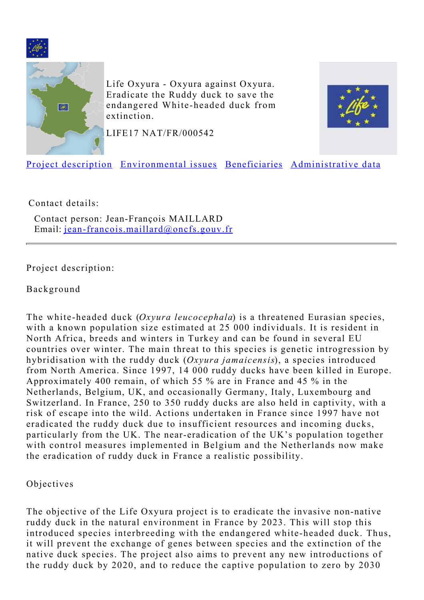<span id="page-0-1"></span>



Life Oxyura - Oxyura against Oxyura. Eradicate the Ruddy duck to save the endangered White-headed duck from extinction.



LIFE17 NAT/FR/000542

[Project description](#page-0-0) [Environmental issues](#page-1-0) [Beneficiaries](#page-2-0) [Administrative data](#page-3-0)

Contact details:

Contact person: Jean-François MAILLARD Email: [jean-francois.maillard@oncfs.gouv.fr](mailto:jean-francois.maillard@oncfs.gouv.fr)

<span id="page-0-0"></span>Project description:

#### Background

The white-headed duck (*Oxyura leucocephala*) is a threatened Eurasian species, with a known population size estimated at 25 000 individuals. It is resident in North Africa, breeds and winters in Turkey and can be found in several EU countries over winter. The main threat to this species is genetic introgression by hybridisation with the ruddy duck (*Oxyura jamaicensis*), a species introduced from North America. Since 1997, 14 000 ruddy ducks have been killed in Europe. Approximately 400 remain, of which 55 % are in France and 45 % in the Netherlands, Belgium, UK, and occasionally Germany, Italy, Luxembourg and Switzerland. In France, 250 to 350 ruddy ducks are also held in captivity, with a risk of escape into the wild. Actions undertaken in France since 1997 have not eradicated the ruddy duck due to insufficient resources and incoming ducks, particularly from the UK. The near-eradication of the UK's population together with control measures implemented in Belgium and the Netherlands now make the eradication of ruddy duck in France a realistic possibility.

Objectives

The objective of the Life Oxyura project is to eradicate the invasive non-native ruddy duck in the natural environment in France by 2023. This will stop this introduced species interbreeding with the endangered white-headed duck. Thus, it will prevent the exchange of genes between species and the extinction of the native duck species. The project also aims to prevent any new introductions of the ruddy duck by 2020, and to reduce the captive population to zero by 2030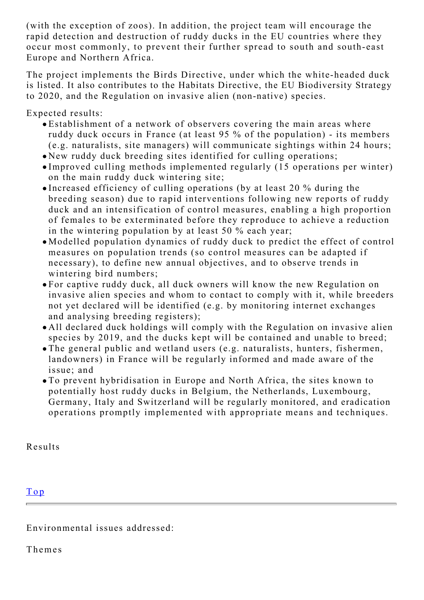(with the exception of zoos). In addition, the project team will encourage the rapid detection and destruction of ruddy ducks in the EU countries where they occur most commonly, to prevent their further spread to south and south-east Europe and Northern Africa.

The project implements the Birds Directive, under which the white-headed duck is listed. It also contributes to the Habitats Directive, the EU Biodiversity Strategy to 2020, and the Regulation on invasive alien (non-native) species.

Expected results:

- Establishment of a network of observers covering the main areas where ruddy duck occurs in France (at least 95 % of the population) - its members (e.g. naturalists, site managers) will communicate sightings within 24 hours;
- New ruddy duck breeding sites identified for culling operations;
- Improved culling methods implemented regularly (15 operations per winter) on the main ruddy duck wintering site;
- Increased efficiency of culling operations (by at least 20 % during the breeding season) due to rapid interventions following new reports of ruddy duck and an intensification of control measures, enabling a high proportion of females to be exterminated before they reproduce to achieve a reduction in the wintering population by at least 50 % each year;
- Modelled population dynamics of ruddy duck to predict the effect of control measures on population trends (so control measures can be adapted if necessary), to define new annual objectives, and to observe trends in wintering bird numbers;
- For captive ruddy duck, all duck owners will know the new Regulation on invasive alien species and whom to contact to comply with it, while breeders not yet declared will be identified (e.g. by monitoring internet exchanges and analysing breeding registers);
- All declared duck holdings will comply with the Regulation on invasive alien species by 2019, and the ducks kept will be contained and unable to breed;
- The general public and wetland users (e.g. naturalists, hunters, fishermen, landowners) in France will be regularly informed and made aware of the issue; and
- To prevent hybridisation in Europe and North Africa, the sites known to potentially host ruddy ducks in Belgium, the Netherlands, Luxembourg, Germany, Italy and Switzerland will be regularly monitored, and eradication operations promptly implemented with appropriate means and techniques.

Results

# [Top](#page-0-1)

<span id="page-1-0"></span>Environmental issues addressed:

Themes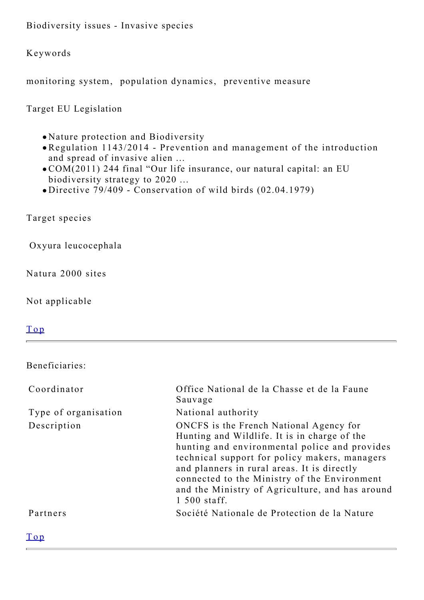Biodiversity issues - Invasive species

Keywords

monitoring system, population dynamics, preventive measure

Target EU Legislation

- Nature protection and Biodiversity
- Regulation 1143/2014 Prevention and management of the introduction and spread of invasive alien ...
- COM(2011) 244 final "Our life insurance, our natural capital: an EU biodiversity strategy to 2020 ...
- Directive 79/409 Conservation of wild birds (02.04.1979)

Target species

Oxyura leucocephala

Natura 2000 sites

Not applicable

#### [Top](#page-0-1)

<span id="page-2-0"></span>Beneficiaries:

| Coordinator          | Office National de la Chasse et de la Faune<br>Sauvage                                                                                                                                                                                                                                                                                                      |
|----------------------|-------------------------------------------------------------------------------------------------------------------------------------------------------------------------------------------------------------------------------------------------------------------------------------------------------------------------------------------------------------|
| Type of organisation | National authority                                                                                                                                                                                                                                                                                                                                          |
| Description          | ONCFS is the French National Agency for<br>Hunting and Wildlife. It is in charge of the<br>hunting and environmental police and provides<br>technical support for policy makers, managers<br>and planners in rural areas. It is directly<br>connected to the Ministry of the Environment<br>and the Ministry of Agriculture, and has around<br>1 500 staff. |
| Partners             | Société Nationale de Protection de la Nature                                                                                                                                                                                                                                                                                                                |
| $T_{\alpha n}$       |                                                                                                                                                                                                                                                                                                                                                             |

[Top](#page-0-1)